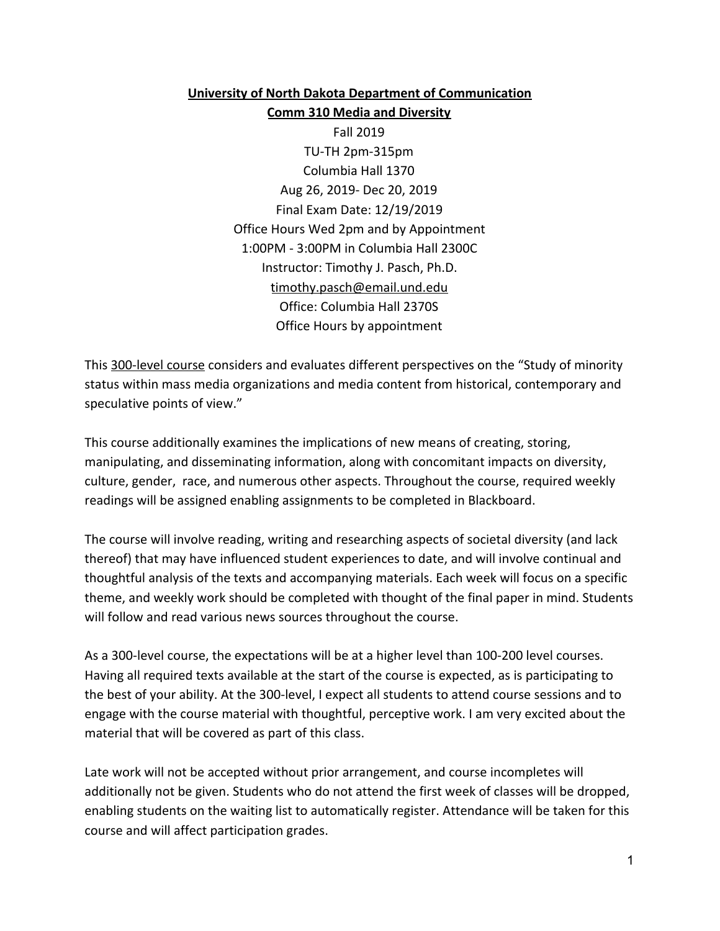# **University of North Dakota Department of Communication Comm 310 Media and Diversity**

Fall 2019 TU-TH 2pm-315pm Columbia Hall 1370 Aug 26, 2019- Dec 20, 2019 Final Exam Date: 12/19/2019 Office Hours Wed 2pm and by Appointment 1:00PM - 3:00PM in Columbia Hall 2300C Instructor: Timothy J. Pasch, Ph.D. timothy.pasch@email.und.edu Office: Columbia Hall 2370S Office Hours by appointment

This 300-level course considers and evaluates different perspectives on the "Study of minority status within mass media organizations and media content from historical, contemporary and speculative points of view."

This course additionally examines the implications of new means of creating, storing, manipulating, and disseminating information, along with concomitant impacts on diversity, culture, gender, race, and numerous other aspects. Throughout the course, required weekly readings will be assigned enabling assignments to be completed in Blackboard.

The course will involve reading, writing and researching aspects of societal diversity (and lack thereof) that may have influenced student experiences to date, and will involve continual and thoughtful analysis of the texts and accompanying materials. Each week will focus on a specific theme, and weekly work should be completed with thought of the final paper in mind. Students will follow and read various news sources throughout the course.

As a 300-level course, the expectations will be at a higher level than 100-200 level courses. Having all required texts available at the start of the course is expected, as is participating to the best of your ability. At the 300-level, I expect all students to attend course sessions and to engage with the course material with thoughtful, perceptive work. I am very excited about the material that will be covered as part of this class.

Late work will not be accepted without prior arrangement, and course incompletes will additionally not be given. Students who do not attend the first week of classes will be dropped, enabling students on the waiting list to automatically register. Attendance will be taken for this course and will affect participation grades.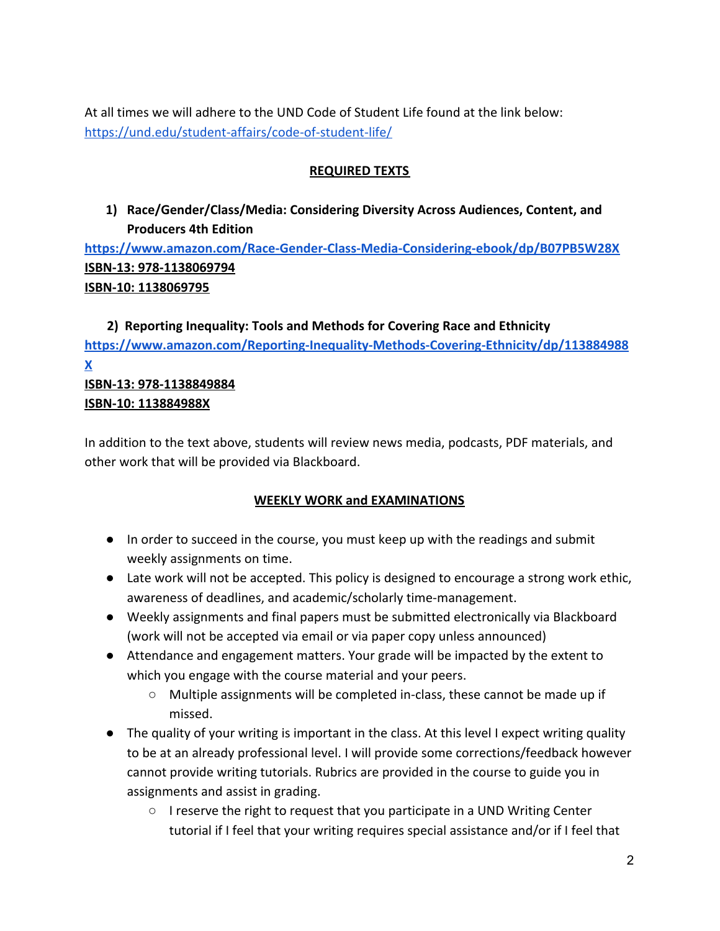At all times we will adhere to the UND Code of Student Life found at the link below: <https://und.edu/student-affairs/code-of-student-life/>

#### **REQUIRED TEXTS**

**1) Race/Gender/Class/Media: Considering Diversity Across Audiences, Content, and Producers 4th Edition**

**<https://www.amazon.com/Race-Gender-Class-Media-Considering-ebook/dp/B07PB5W28X> ISBN-13: 978-1138069794 ISBN-10: 1138069795**

# **2) Reporting Inequality: Tools and Methods for Covering Race and Ethnicity [https://www.amazon.com/Reporting-Inequality-Methods-Covering-Ethnicity/dp/113884988](https://www.amazon.com/Reporting-Inequality-Methods-Covering-Ethnicity/dp/113884988X) [X](https://www.amazon.com/Reporting-Inequality-Methods-Covering-Ethnicity/dp/113884988X)**

#### **ISBN-13: 978-1138849884 ISBN-10: 113884988X**

In addition to the text above, students will review news media, podcasts, PDF materials, and other work that will be provided via Blackboard.

# **WEEKLY WORK and EXAMINATIONS**

- In order to succeed in the course, you must keep up with the readings and submit weekly assignments on time.
- Late work will not be accepted. This policy is designed to encourage a strong work ethic, awareness of deadlines, and academic/scholarly time-management.
- Weekly assignments and final papers must be submitted electronically via Blackboard (work will not be accepted via email or via paper copy unless announced)
- Attendance and engagement matters. Your grade will be impacted by the extent to which you engage with the course material and your peers.
	- Multiple assignments will be completed in-class, these cannot be made up if missed.
- The quality of your writing is important in the class. At this level I expect writing quality to be at an already professional level. I will provide some corrections/feedback however cannot provide writing tutorials. Rubrics are provided in the course to guide you in assignments and assist in grading.
	- $\circ$  I reserve the right to request that you participate in a UND Writing Center tutorial if I feel that your writing requires special assistance and/or if I feel that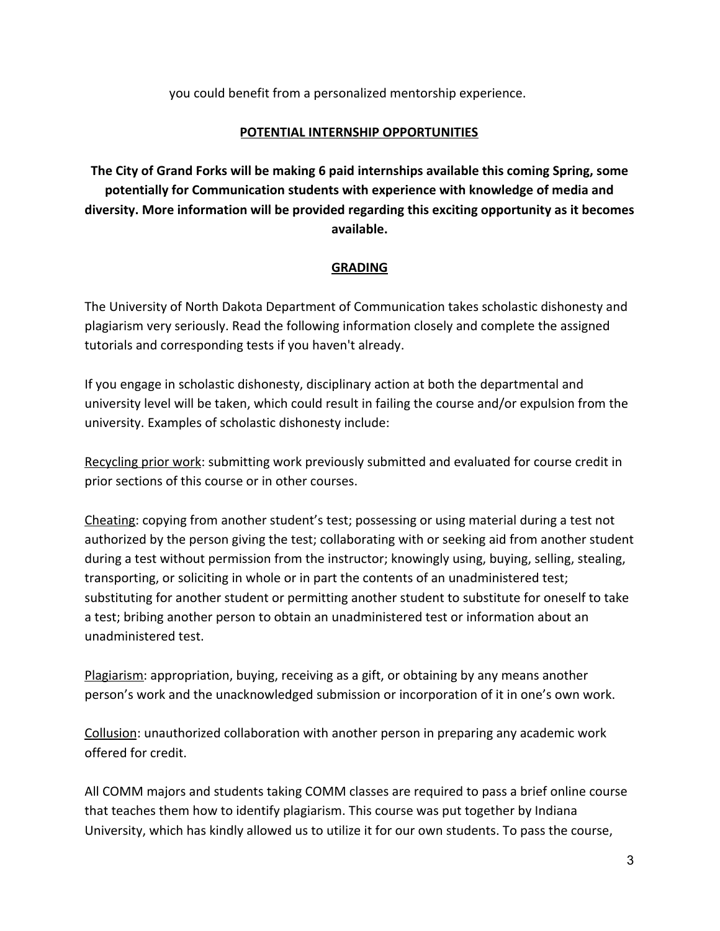you could benefit from a personalized mentorship experience.

### **POTENTIAL INTERNSHIP OPPORTUNITIES**

**The City of Grand Forks will be making 6 paid internships available this coming Spring, some potentially for Communication students with experience with knowledge of media and diversity. More information will be provided regarding this exciting opportunity as it becomes available.**

# **GRADING**

The University of North Dakota Department of Communication takes scholastic dishonesty and plagiarism very seriously. Read the following information closely and complete the assigned tutorials and corresponding tests if you haven't already.

If you engage in scholastic dishonesty, disciplinary action at both the departmental and university level will be taken, which could result in failing the course and/or expulsion from the university. Examples of scholastic dishonesty include:

Recycling prior work: submitting work previously submitted and evaluated for course credit in prior sections of this course or in other courses.

Cheating: copying from another student's test; possessing or using material during a test not authorized by the person giving the test; collaborating with or seeking aid from another student during a test without permission from the instructor; knowingly using, buying, selling, stealing, transporting, or soliciting in whole or in part the contents of an unadministered test; substituting for another student or permitting another student to substitute for oneself to take a test; bribing another person to obtain an unadministered test or information about an unadministered test.

Plagiarism: appropriation, buying, receiving as a gift, or obtaining by any means another person's work and the unacknowledged submission or incorporation of it in one's own work.

Collusion: unauthorized collaboration with another person in preparing any academic work offered for credit.

All COMM majors and students taking COMM classes are required to pass a brief online course that teaches them how to identify plagiarism. This course was put together by Indiana University, which has kindly allowed us to utilize it for our own students. To pass the course,